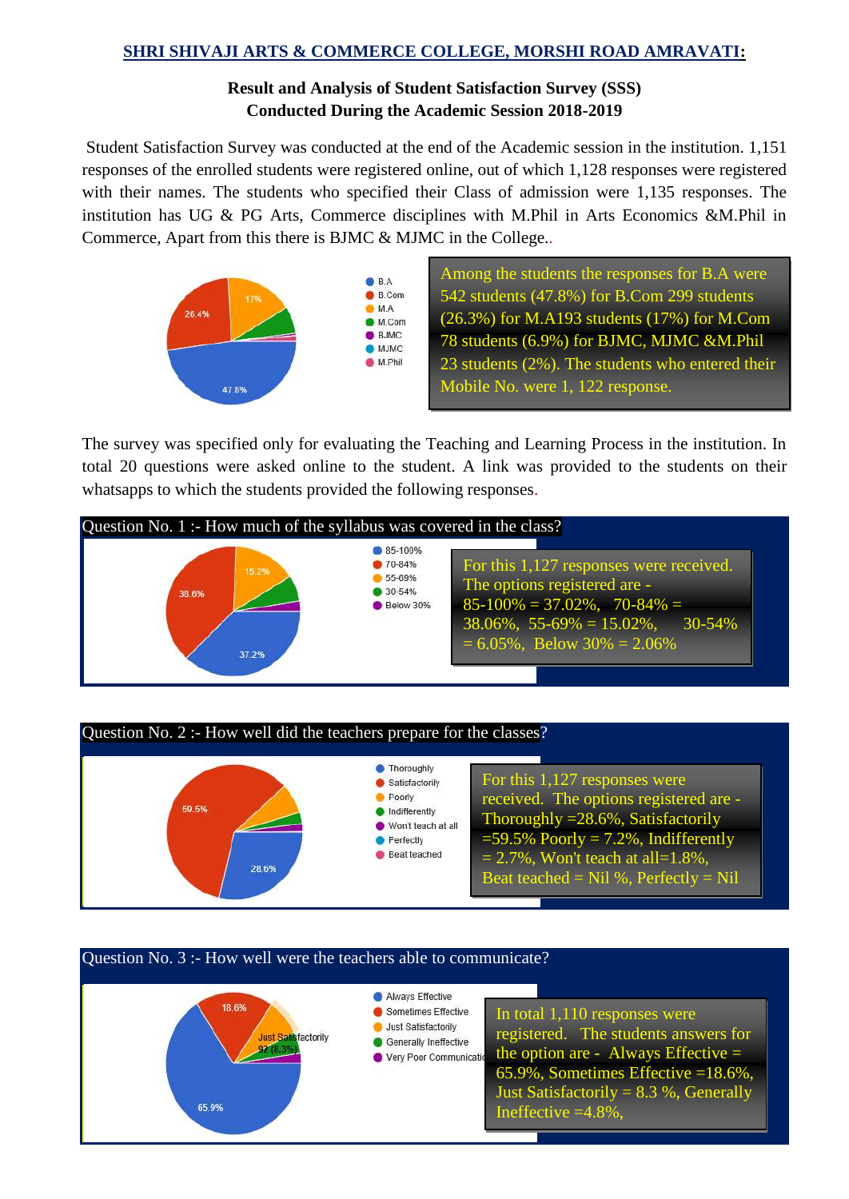#### **SHRI SHIVAJI ARTS & COMMERCE COLLEGE, MORSHI ROAD AMRAVATI:**

## **Result and Analysis of Student Satisfaction Survey (SSS) Conducted During the Academic Session 2018-2019**

Student Satisfaction Survey was conducted at the end of the Academic session in the institution. 1,151 responses of the enrolled students were registered online, out of which 1,128 responses were registered with their names. The students who specified their Class of admission were 1,135 responses. The institution has UG & PG Arts, Commerce disciplines with M.Phil in Arts Economics &M.Phil in Commerce, Apart from this there is BJMC & MJMC in the College..



Among the students the responses for B.A were 542 students (47.8%) for B.Com 299 students (26.3%) for M.A193 students (17%) for M.Com 78 students (6.9%) for BJMC, MJMC &M.Phil 23 students (2%). The students who entered their Mobile No. were 1, 122 response.

I

The survey was specified only for evaluating the Teaching and Learning Process in the institution. In total 20 questions were asked online to the student. A link was provided to the students on their whatsapps to which the students provided the following responses.





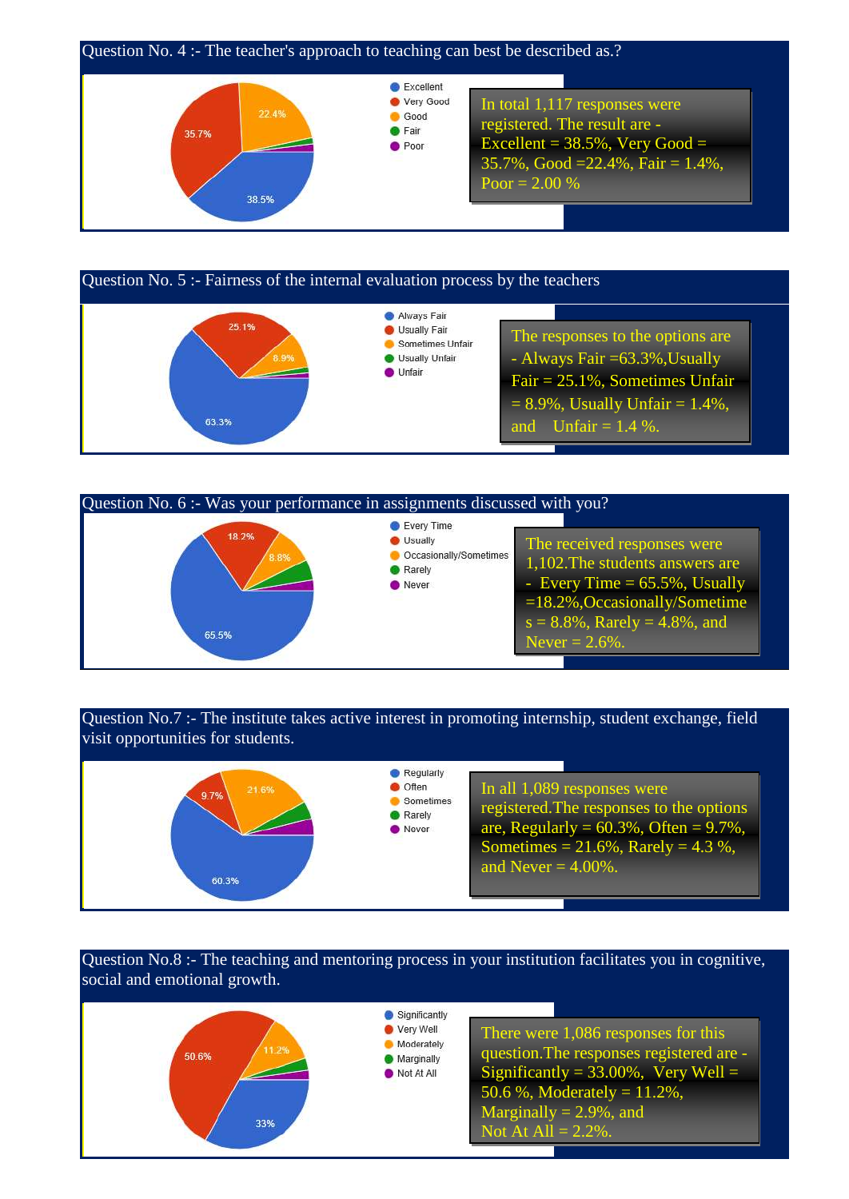

#### Question No. 5 :- Fairness of the internal evaluation process by the teachers Always Fair 25.1% **O** Usually Fair The responses to the options are Sometimes Unfair - Always Fair =63.3%,Usually I Isually Unfair **O** Unfair Fair = 25.1%, Sometimes Unfair  $= 8.9\%$ , Usually Unfair  $= 1.4\%$ , 63.3% and Unfair =  $1.4\%$ .



### Question No.7 :- The institute takes active interest in promoting internship, student exchange, field visit opportunities for students.



Question No.8 :- The teaching and mentoring process in your institution facilitates you in cognitive, social and emotional growth.

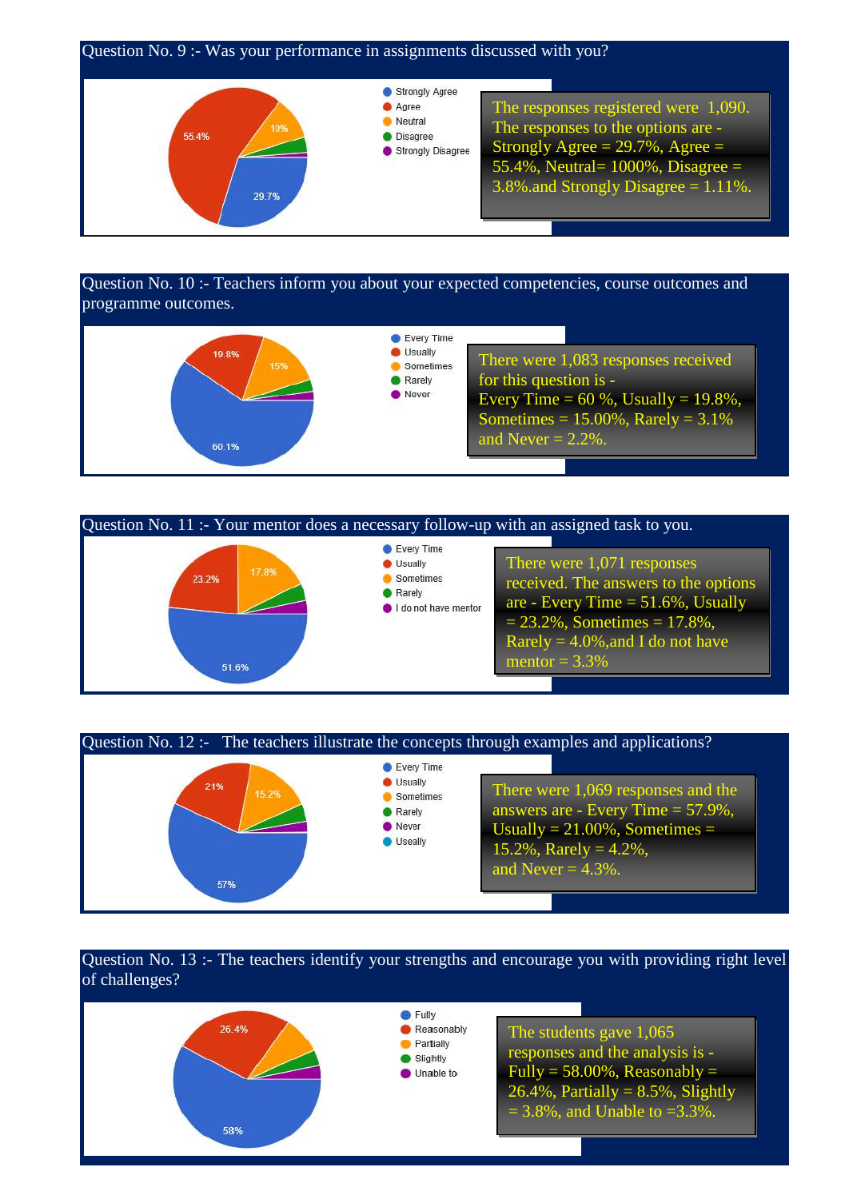

Question No. 10 :- Teachers inform you about your expected competencies, course outcomes and programme outcomes.







### Question No. 13 :- The teachers identify your strengths and encourage you with providing right level of challenges?

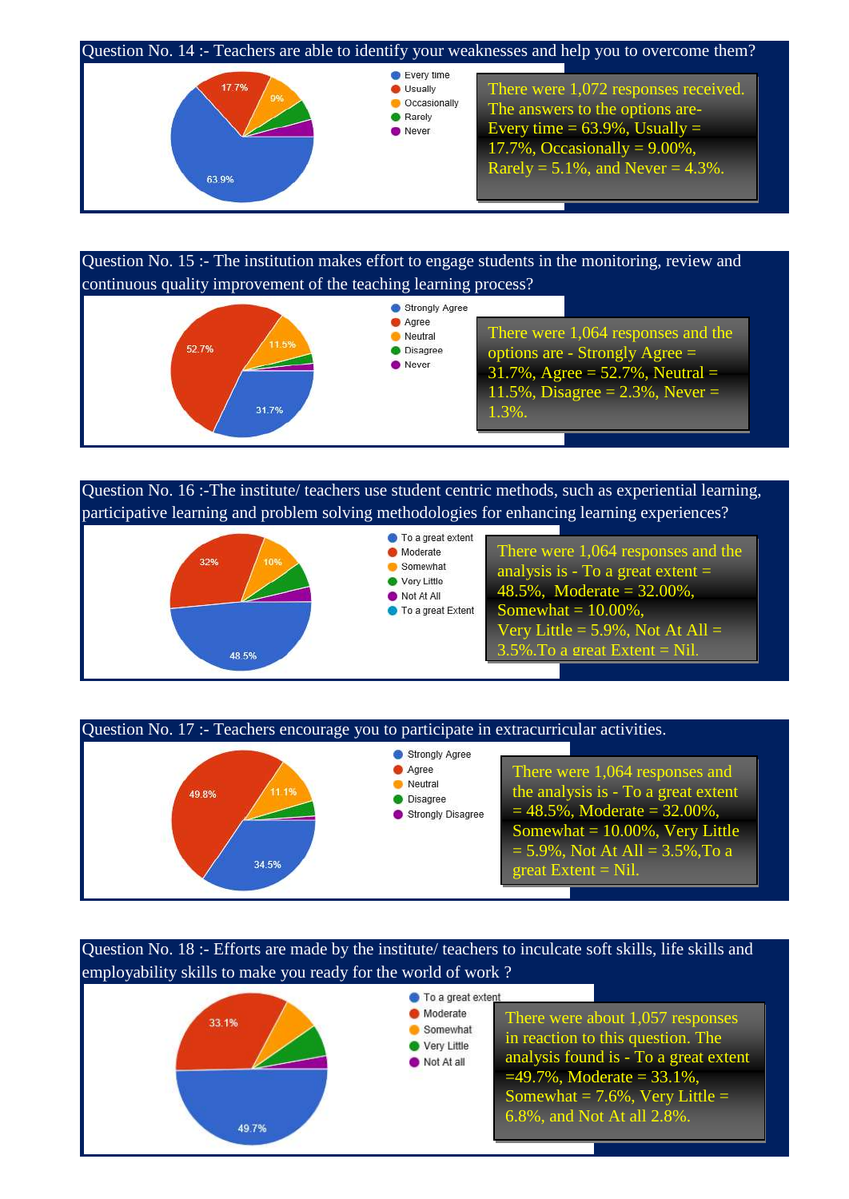

Question No. 15 :- The institution makes effort to engage students in the monitoring, review and continuous quality improvement of the teaching learning process?



Question No. 16 :-The institute/ teachers use student centric methods, such as experiential learning, participative learning and problem solving methodologies for enhancing learning experiences?





Question No. 18 :- Efforts are made by the institute/ teachers to inculcate soft skills, life skills and employability skills to make you ready for the world of work ?